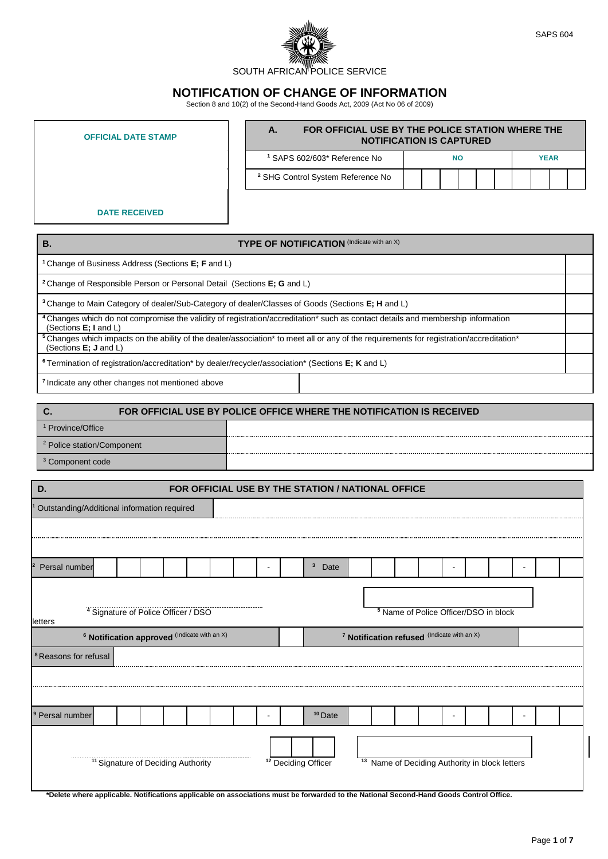

## **NOTIFICATION OF CHANGE OF INFORMATION**

Section 8 and 10(2) of the Second-Hand Goods Act, 2009 (Act No 06 of 2009)

| <b>OFFICIAL DATE STAMP</b> | А.                                           | FOR OFFICIAL USE BY THE POLICE STATION WHERE THE<br><b>NOTIFICATION IS CAPTURED</b> |
|----------------------------|----------------------------------------------|-------------------------------------------------------------------------------------|
|                            | <sup>1</sup> SAPS 602/603* Reference No      | <b>YEAR</b><br><b>NO</b>                                                            |
|                            | <sup>2</sup> SHG Control System Reference No |                                                                                     |
| <b>DATE RECEIVED</b>       |                                              |                                                                                     |

| <b>TYPE OF NOTIFICATION</b> (Indicate with an X)<br>В.                                                                                                                                                  |  |
|---------------------------------------------------------------------------------------------------------------------------------------------------------------------------------------------------------|--|
| <sup>1</sup> Change of Business Address (Sections <b>E</b> ; <b>F</b> and L)                                                                                                                            |  |
| <sup>2</sup> Change of Responsible Person or Personal Detail (Sections <b>E</b> ; <b>G</b> and L)                                                                                                       |  |
| <sup>3</sup> Change to Main Category of dealer/Sub-Category of dealer/Classes of Goods (Sections E; H and L)                                                                                            |  |
| <sup>4</sup> Changes which do not compromise the validity of registration/accreditation <sup>*</sup> such as contact details and membership information<br>(Sections $E$ ; I and $L$ )                  |  |
| <sup>5</sup> Changes which impacts on the ability of the dealer/association <sup>*</sup> to meet all or any of the requirements for registration/accreditation <sup>*</sup><br>(Sections $E$ ; J and L) |  |
| <sup>6</sup> Termination of registration/accreditation* by dealer/recycler/association* (Sections <b>E</b> ; <b>K</b> and L)                                                                            |  |
| <sup>7</sup> Indicate any other changes not mentioned above                                                                                                                                             |  |
|                                                                                                                                                                                                         |  |

|                                       | FOR OFFICIAL USE BY POLICE OFFICE WHERE THE NOTIFICATION IS RECEIVED |
|---------------------------------------|----------------------------------------------------------------------|
| Province/Office                       |                                                                      |
| <sup>2</sup> Police station/Component |                                                                      |
| <sup>3</sup> Component code           |                                                                      |

| D.                                                                                                                                     |                                                         |  |  | FOR OFFICIAL USE BY THE STATION / NATIONAL OFFICE |    |                                                        |                                                  |  |  |  |  |
|----------------------------------------------------------------------------------------------------------------------------------------|---------------------------------------------------------|--|--|---------------------------------------------------|----|--------------------------------------------------------|--------------------------------------------------|--|--|--|--|
| Outstanding/Additional information required                                                                                            |                                                         |  |  |                                                   |    |                                                        |                                                  |  |  |  |  |
|                                                                                                                                        |                                                         |  |  |                                                   |    |                                                        |                                                  |  |  |  |  |
|                                                                                                                                        |                                                         |  |  |                                                   |    |                                                        |                                                  |  |  |  |  |
| Persal number                                                                                                                          |                                                         |  |  | $\mathbf{3}$<br>Date                              |    |                                                        |                                                  |  |  |  |  |
|                                                                                                                                        |                                                         |  |  |                                                   |    |                                                        |                                                  |  |  |  |  |
|                                                                                                                                        | <sup>4</sup> Signature of Police Officer / DSO          |  |  |                                                   |    |                                                        | <sup>5</sup> Name of Police Officer/DSO in block |  |  |  |  |
| letters                                                                                                                                |                                                         |  |  |                                                   |    |                                                        |                                                  |  |  |  |  |
|                                                                                                                                        | <sup>6</sup> Notification approved (Indicate with an X) |  |  |                                                   |    | <sup>7</sup> Notification refused (Indicate with an X) |                                                  |  |  |  |  |
| <sup>8</sup> Reasons for refusal                                                                                                       |                                                         |  |  |                                                   |    |                                                        |                                                  |  |  |  |  |
|                                                                                                                                        |                                                         |  |  |                                                   |    |                                                        |                                                  |  |  |  |  |
|                                                                                                                                        |                                                         |  |  |                                                   |    |                                                        |                                                  |  |  |  |  |
| <sup>9</sup> Persal number                                                                                                             |                                                         |  |  | <sup>10</sup> Date                                |    |                                                        |                                                  |  |  |  |  |
|                                                                                                                                        |                                                         |  |  |                                                   |    |                                                        |                                                  |  |  |  |  |
|                                                                                                                                        |                                                         |  |  |                                                   |    |                                                        |                                                  |  |  |  |  |
|                                                                                                                                        | <sup>11</sup> Signature of Deciding Authority           |  |  | <sup>12</sup> Deciding Officer                    | 13 |                                                        | Name of Deciding Authority in block letters      |  |  |  |  |
|                                                                                                                                        |                                                         |  |  |                                                   |    |                                                        |                                                  |  |  |  |  |
| *Delete where applicable. Notifications applicable on associations must be forwarded to the National Second-Hand Goods Control Office. |                                                         |  |  |                                                   |    |                                                        |                                                  |  |  |  |  |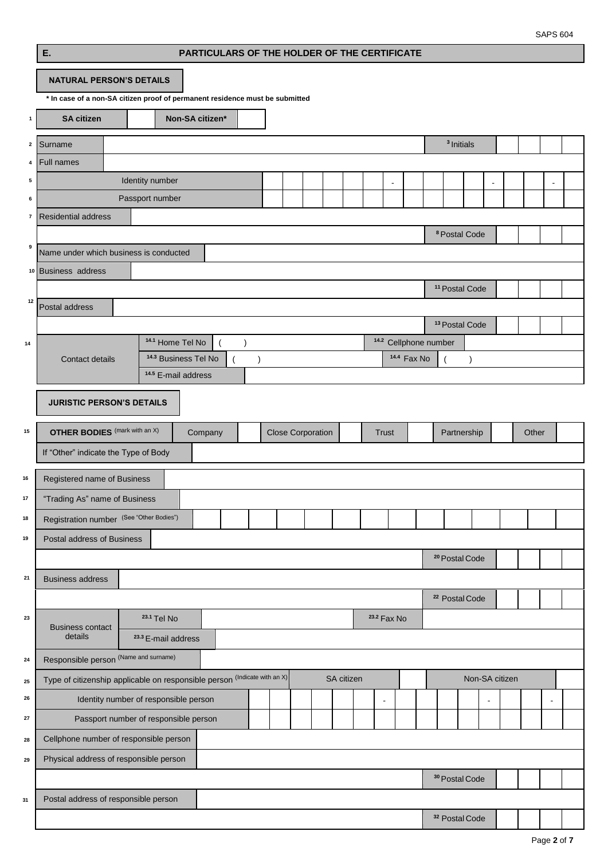|              | Ε.                                                                           |                                                                   | PARTICULARS OF THE HOLDER OF THE CERTIFICATE |               |                          |  |            |                |                        |                        |                                  |                           |           |                |                |       |                |  |
|--------------|------------------------------------------------------------------------------|-------------------------------------------------------------------|----------------------------------------------|---------------|--------------------------|--|------------|----------------|------------------------|------------------------|----------------------------------|---------------------------|-----------|----------------|----------------|-------|----------------|--|
|              | <b>NATURAL PERSON'S DETAILS</b>                                              |                                                                   |                                              |               |                          |  |            |                |                        |                        |                                  |                           |           |                |                |       |                |  |
|              | * In case of a non-SA citizen proof of permanent residence must be submitted |                                                                   |                                              |               |                          |  |            |                |                        |                        |                                  |                           |           |                |                |       |                |  |
| $\mathbf{1}$ | <b>SA citizen</b>                                                            |                                                                   | Non-SA citizen*                              |               |                          |  |            |                |                        |                        |                                  |                           |           |                |                |       |                |  |
| $\mathbf 2$  | Surname                                                                      |                                                                   |                                              |               |                          |  |            |                |                        |                        |                                  | <sup>3</sup> Initials     |           |                |                |       |                |  |
| 4            | <b>Full names</b>                                                            |                                                                   |                                              |               |                          |  |            |                |                        |                        |                                  |                           |           |                |                |       |                |  |
| 5            |                                                                              | Identity number                                                   |                                              |               |                          |  |            |                | $\overline{a}$         |                        |                                  |                           |           | $\blacksquare$ |                |       | $\blacksquare$ |  |
| 6            |                                                                              | Passport number                                                   |                                              |               |                          |  |            |                |                        |                        |                                  |                           |           |                |                |       |                |  |
| $\pmb{7}$    | <b>Residential address</b>                                                   |                                                                   |                                              |               |                          |  |            |                |                        |                        |                                  |                           |           |                |                |       |                |  |
| 9            | Name under which business is conducted                                       |                                                                   |                                              |               |                          |  |            |                |                        |                        |                                  | <sup>8</sup> Postal Code  |           |                |                |       |                |  |
|              | 10 Business address                                                          |                                                                   |                                              |               |                          |  |            |                |                        |                        |                                  |                           |           |                |                |       |                |  |
|              |                                                                              |                                                                   |                                              |               |                          |  |            |                |                        |                        |                                  | <sup>11</sup> Postal Code |           |                |                |       |                |  |
| 12           | Postal address                                                               |                                                                   |                                              |               |                          |  |            |                |                        |                        |                                  |                           |           |                |                |       |                |  |
|              |                                                                              |                                                                   |                                              |               |                          |  |            |                |                        |                        |                                  | <sup>13</sup> Postal Code |           |                |                |       |                |  |
| 14           |                                                                              | 14.1 Home Tel No                                                  |                                              | $\lambda$     |                          |  |            |                |                        |                        | <sup>14.2</sup> Cellphone number |                           |           |                |                |       |                |  |
|              | Contact details                                                              | <sup>14.3</sup> Business Tel No<br><sup>14.5</sup> E-mail address |                                              | $\mathcal{E}$ |                          |  |            |                |                        | <sup>14.4</sup> Fax No |                                  |                           | $\lambda$ |                |                |       |                |  |
|              |                                                                              |                                                                   |                                              |               |                          |  |            |                |                        |                        |                                  |                           |           |                |                |       |                |  |
|              | <b>JURISTIC PERSON'S DETAILS</b>                                             |                                                                   |                                              |               |                          |  |            |                |                        |                        |                                  |                           |           |                |                |       |                |  |
| 15           | <b>OTHER BODIES</b> (mark with an X)                                         |                                                                   | Company                                      |               | <b>Close Corporation</b> |  |            |                | <b>Trust</b>           |                        |                                  | Partnership               |           |                |                | Other |                |  |
|              | If "Other" indicate the Type of Body                                         |                                                                   |                                              |               |                          |  |            |                |                        |                        |                                  |                           |           |                |                |       |                |  |
| 16           |                                                                              |                                                                   |                                              |               |                          |  |            |                |                        |                        |                                  |                           |           |                |                |       |                |  |
| 17           | Registered name of Business<br>"Trading As" name of Business                 |                                                                   |                                              |               |                          |  |            |                |                        |                        |                                  |                           |           |                |                |       |                |  |
| 18           | Registration number (See "Other Bodies")                                     |                                                                   |                                              |               |                          |  |            |                |                        |                        |                                  |                           |           |                |                |       |                |  |
| 19           | Postal address of Business                                                   |                                                                   |                                              |               |                          |  |            |                |                        |                        |                                  |                           |           |                |                |       |                |  |
|              |                                                                              |                                                                   |                                              |               |                          |  |            |                |                        |                        |                                  | <sup>20</sup> Postal Code |           |                |                |       |                |  |
| 21           | <b>Business address</b>                                                      |                                                                   |                                              |               |                          |  |            |                |                        |                        |                                  |                           |           |                |                |       |                |  |
|              |                                                                              |                                                                   |                                              |               |                          |  |            |                |                        |                        |                                  | <sup>22</sup> Postal Code |           |                |                |       |                |  |
| 23           |                                                                              | <sup>23.1</sup> Tel No                                            |                                              |               |                          |  |            |                | <sup>23.2</sup> Fax No |                        |                                  |                           |           |                |                |       |                |  |
|              | <b>Business contact</b><br>details                                           | <sup>23.3</sup> E-mail address                                    |                                              |               |                          |  |            |                |                        |                        |                                  |                           |           |                |                |       |                |  |
| 24           | Responsible person (Name and surname)                                        |                                                                   |                                              |               |                          |  |            |                |                        |                        |                                  |                           |           |                |                |       |                |  |
| 25           | Type of citizenship applicable on responsible person (Indicate with an X)    |                                                                   |                                              |               |                          |  | SA citizen |                |                        |                        |                                  |                           |           |                | Non-SA citizen |       |                |  |
| 26           |                                                                              | Identity number of responsible person                             |                                              |               |                          |  |            | $\blacksquare$ |                        |                        |                                  |                           |           |                |                |       |                |  |
| 27           |                                                                              | Passport number of responsible person                             |                                              |               |                          |  |            |                |                        |                        |                                  |                           |           |                |                |       |                |  |
| 28           | Cellphone number of responsible person                                       |                                                                   |                                              |               |                          |  |            |                |                        |                        |                                  |                           |           |                |                |       |                |  |
| 29           | Physical address of responsible person                                       |                                                                   |                                              |               |                          |  |            |                |                        |                        |                                  |                           |           |                |                |       |                |  |
|              |                                                                              |                                                                   |                                              |               |                          |  |            |                |                        |                        |                                  | <sup>30</sup> Postal Code |           |                |                |       |                |  |
| 31           | Postal address of responsible person                                         |                                                                   |                                              |               |                          |  |            |                |                        |                        |                                  |                           |           |                |                |       |                |  |
|              |                                                                              |                                                                   |                                              |               |                          |  |            |                |                        |                        |                                  | <sup>32</sup> Postal Code |           |                |                |       |                |  |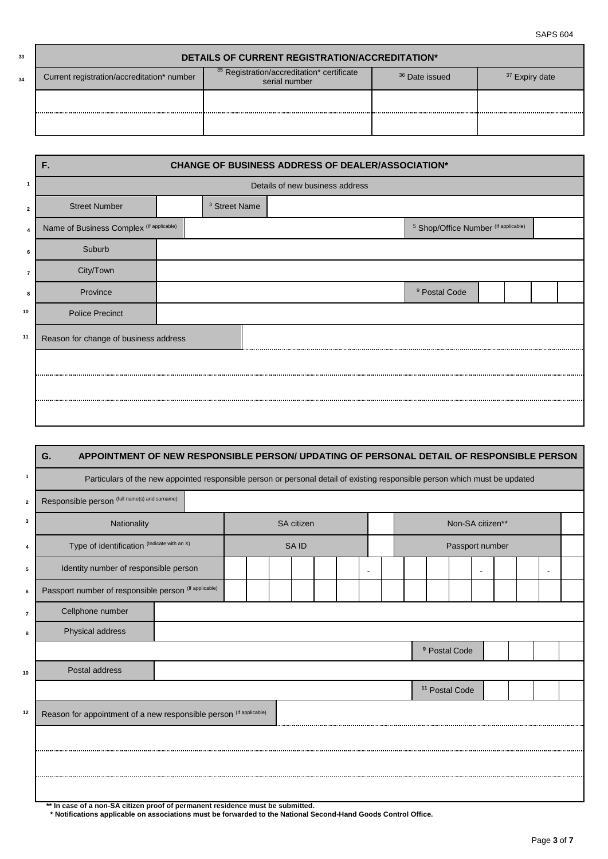SAPS 604

| 33 |                                            | <b>DETAILS OF CURRENT REGISTRATION/ACCREDITATION*</b>                  |                           |                           |
|----|--------------------------------------------|------------------------------------------------------------------------|---------------------------|---------------------------|
| 34 | Current registration/accreditation* number | <sup>35</sup> Registration/accreditation* certificate<br>serial number | <sup>36</sup> Date issued | <sup>37</sup> Expiry date |
|    |                                            |                                                                        |                           |                           |
|    |                                            |                                                                        |                           |                           |

| F.                     |                                                                                   |                                 |                                                          |                                                 |  |
|------------------------|-----------------------------------------------------------------------------------|---------------------------------|----------------------------------------------------------|-------------------------------------------------|--|
|                        |                                                                                   |                                 |                                                          |                                                 |  |
| <b>Street Number</b>   | <sup>3</sup> Street Name                                                          |                                 |                                                          |                                                 |  |
|                        |                                                                                   |                                 |                                                          |                                                 |  |
| Suburb                 |                                                                                   |                                 |                                                          |                                                 |  |
| City/Town              |                                                                                   |                                 |                                                          |                                                 |  |
| Province               |                                                                                   | <sup>9</sup> Postal Code        |                                                          |                                                 |  |
| <b>Police Precinct</b> |                                                                                   |                                 |                                                          |                                                 |  |
|                        |                                                                                   |                                 |                                                          |                                                 |  |
|                        |                                                                                   |                                 |                                                          |                                                 |  |
|                        |                                                                                   |                                 |                                                          |                                                 |  |
|                        |                                                                                   |                                 |                                                          |                                                 |  |
|                        | Name of Business Complex (If applicable)<br>Reason for change of business address | Details of new business address | <b>CHANGE OF BUSINESS ADDRESS OF DEALER/ASSOCIATION*</b> | <sup>5</sup> Shop/Office Number (If applicable) |  |

| $\mathbf{1}$            | APPOINTMENT OF NEW RESPONSIBLE PERSON/ UPDATING OF PERSONAL DETAIL OF RESPONSIBLE PERSON<br>G.<br>Particulars of the new appointed responsible person or personal detail of existing responsible person which must be updated |  |                   |  |  |  |                           |  |  |  |
|-------------------------|-------------------------------------------------------------------------------------------------------------------------------------------------------------------------------------------------------------------------------|--|-------------------|--|--|--|---------------------------|--|--|--|
| $\overline{\mathbf{2}}$ | Responsible person (full name(s) and sumame)                                                                                                                                                                                  |  |                   |  |  |  |                           |  |  |  |
| 3                       | Nationality                                                                                                                                                                                                                   |  | <b>SA</b> citizen |  |  |  | Non-SA citizen**          |  |  |  |
| 4                       | Type of identification (Indicate with an X)                                                                                                                                                                                   |  | SA ID             |  |  |  | Passport number           |  |  |  |
| 5                       | Identity number of responsible person                                                                                                                                                                                         |  |                   |  |  |  |                           |  |  |  |
| 6                       | Passport number of responsible person (If applicable)                                                                                                                                                                         |  |                   |  |  |  |                           |  |  |  |
| $\overline{7}$          | Cellphone number                                                                                                                                                                                                              |  |                   |  |  |  |                           |  |  |  |
| 8                       | Physical address                                                                                                                                                                                                              |  |                   |  |  |  |                           |  |  |  |
|                         |                                                                                                                                                                                                                               |  |                   |  |  |  | <sup>9</sup> Postal Code  |  |  |  |
| 10                      | Postal address                                                                                                                                                                                                                |  |                   |  |  |  |                           |  |  |  |
|                         |                                                                                                                                                                                                                               |  |                   |  |  |  | <sup>11</sup> Postal Code |  |  |  |
| 12                      | Reason for appointment of a new responsible person (If applicable)                                                                                                                                                            |  |                   |  |  |  |                           |  |  |  |
|                         |                                                                                                                                                                                                                               |  |                   |  |  |  |                           |  |  |  |
|                         |                                                                                                                                                                                                                               |  |                   |  |  |  |                           |  |  |  |
|                         |                                                                                                                                                                                                                               |  |                   |  |  |  |                           |  |  |  |

**\*\* In case of a non-SA citizen proof of permanent residence must be submitted.**

 **\* Notifications applicable on associations must be forwarded to the National Second-Hand Goods Control Office.**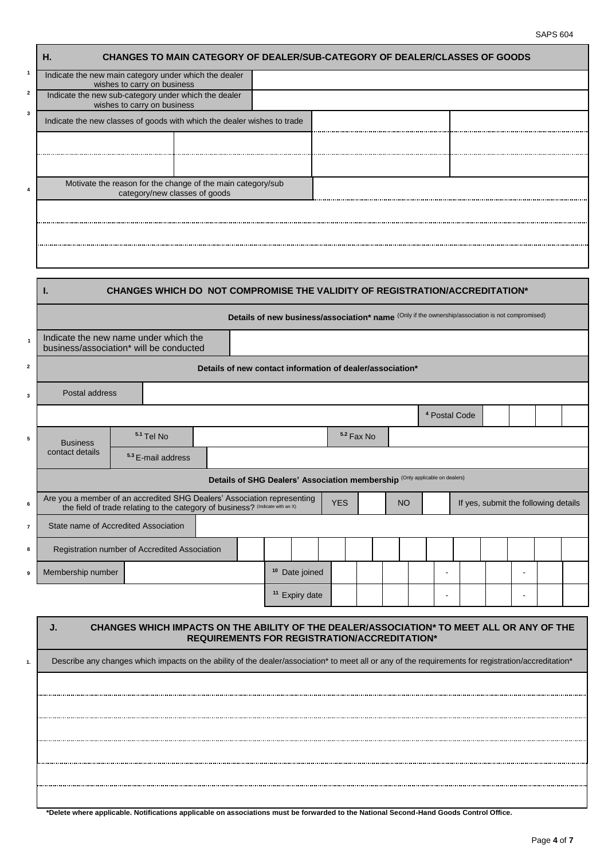| <b>CHANGES TO MAIN CATEGORY OF DEALER/SUB-CATEGORY OF DEALER/CLASSES OF GOODS</b><br>Н.      |  |  |
|----------------------------------------------------------------------------------------------|--|--|
| Indicate the new main category under which the dealer<br>wishes to carry on business         |  |  |
| Indicate the new sub-category under which the dealer<br>wishes to carry on business          |  |  |
| Indicate the new classes of goods with which the dealer wishes to trade                      |  |  |
|                                                                                              |  |  |
|                                                                                              |  |  |
| Motivate the reason for the change of the main category/sub<br>category/new classes of goods |  |  |
|                                                                                              |  |  |
|                                                                                              |  |  |
|                                                                                              |  |  |

 **1**

 **2**

 **3**

 **4**

|                         | ı.                                                                               |                               | CHANGES WHICH DO NOT COMPROMISE THE VALIDITY OF REGISTRATION/ACCREDITATION*                      |                           |            |             |           |                          |  |                                      |  |
|-------------------------|----------------------------------------------------------------------------------|-------------------------------|--------------------------------------------------------------------------------------------------|---------------------------|------------|-------------|-----------|--------------------------|--|--------------------------------------|--|
|                         |                                                                                  |                               | Details of new business/association* name (Only if the ownership/association is not compromised) |                           |            |             |           |                          |  |                                      |  |
| $\mathbf{1}$            | Indicate the new name under which the<br>business/association* will be conducted |                               |                                                                                                  |                           |            |             |           |                          |  |                                      |  |
| $\overline{\mathbf{2}}$ |                                                                                  |                               | Details of new contact information of dealer/association*                                        |                           |            |             |           |                          |  |                                      |  |
| 3                       | Postal address                                                                   |                               |                                                                                                  |                           |            |             |           |                          |  |                                      |  |
|                         |                                                                                  |                               |                                                                                                  |                           |            |             |           | <sup>4</sup> Postal Code |  |                                      |  |
| 5                       | <b>Business</b>                                                                  | $5.1$ Tel No                  |                                                                                                  |                           |            | 5.2 Fax No. |           |                          |  |                                      |  |
|                         | contact details                                                                  | <sup>5.3</sup> E-mail address |                                                                                                  |                           |            |             |           |                          |  |                                      |  |
|                         |                                                                                  |                               | Details of SHG Dealers' Association membership (Only applicable on dealers)                      |                           |            |             |           |                          |  |                                      |  |
| 6                       | Are you a member of an accredited SHG Dealers' Association representing          |                               | the field of trade relating to the category of business? (Indicate with an X)                    |                           | <b>YES</b> |             | <b>NO</b> |                          |  | If yes, submit the following details |  |
| $\overline{7}$          | State name of Accredited Association                                             |                               |                                                                                                  |                           |            |             |           |                          |  |                                      |  |
| 8                       | Registration number of Accredited Association                                    |                               |                                                                                                  |                           |            |             |           |                          |  |                                      |  |
| 9                       | Membership number                                                                |                               |                                                                                                  | <sup>10</sup> Date joined |            |             |           | $\blacksquare$           |  | $\blacksquare$                       |  |
|                         |                                                                                  |                               |                                                                                                  | <sup>11</sup> Expiry date |            |             |           | $\blacksquare$           |  | $\blacksquare$                       |  |
|                         |                                                                                  |                               |                                                                                                  |                           |            |             |           |                          |  |                                      |  |

## **J. CHANGES WHICH IMPACTS ON THE ABILITY OF THE DEALER/ASSOCIATION\* TO MEET ALL OR ANY OF THE REQUIREMENTS FOR REGISTRATION/ACCREDITATION\***

1. Describe any changes which impacts on the ability of the dealer/association<sup>\*</sup> to meet all or any of the requirements for registration/accreditation<sup>\*</sup> **\*Delete where applicable. Notifications applicable on associations must be forwarded to the National Second-Hand Goods Control Office.**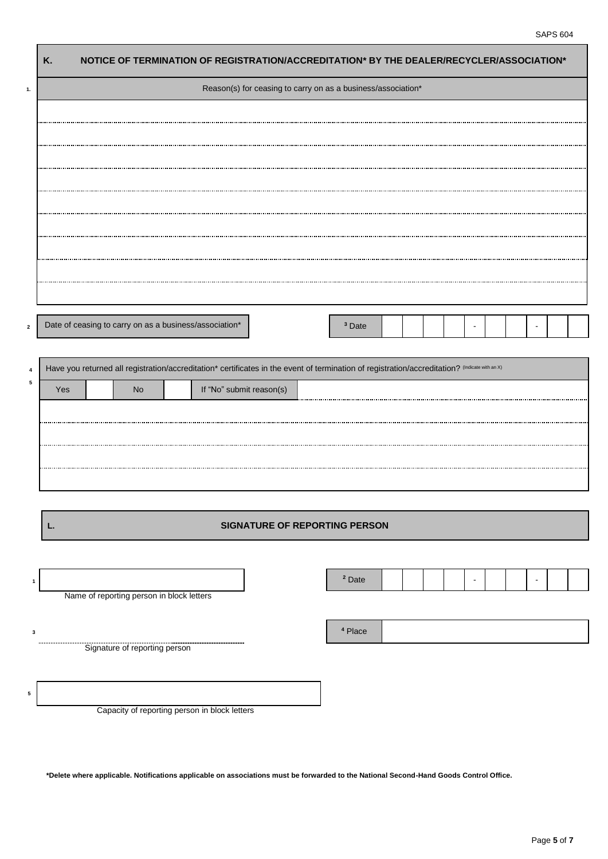|     |                                                        | Reason(s) for ceasing to carry on as a business/association*                                                                                   |                   |  |  |
|-----|--------------------------------------------------------|------------------------------------------------------------------------------------------------------------------------------------------------|-------------------|--|--|
|     |                                                        |                                                                                                                                                |                   |  |  |
|     |                                                        |                                                                                                                                                |                   |  |  |
|     |                                                        |                                                                                                                                                |                   |  |  |
|     |                                                        |                                                                                                                                                |                   |  |  |
|     |                                                        |                                                                                                                                                |                   |  |  |
|     |                                                        |                                                                                                                                                |                   |  |  |
|     |                                                        |                                                                                                                                                |                   |  |  |
|     |                                                        |                                                                                                                                                |                   |  |  |
|     |                                                        |                                                                                                                                                |                   |  |  |
|     |                                                        |                                                                                                                                                |                   |  |  |
|     |                                                        |                                                                                                                                                |                   |  |  |
|     |                                                        |                                                                                                                                                |                   |  |  |
|     | Date of ceasing to carry on as a business/association* |                                                                                                                                                | <sup>3</sup> Date |  |  |
|     |                                                        |                                                                                                                                                |                   |  |  |
|     |                                                        |                                                                                                                                                |                   |  |  |
|     |                                                        | Have you returned all registration/accreditation* certificates in the event of termination of registration/accreditation? (Indicate with an X) |                   |  |  |
| Yes | No                                                     | If "No" submit reason(s)                                                                                                                       |                   |  |  |
|     |                                                        |                                                                                                                                                |                   |  |  |
|     |                                                        |                                                                                                                                                |                   |  |  |
|     |                                                        |                                                                                                                                                |                   |  |  |
|     |                                                        |                                                                                                                                                |                   |  |  |
|     |                                                        |                                                                                                                                                |                   |  |  |
|     |                                                        |                                                                                                                                                |                   |  |  |
|     |                                                        | <b>SIGNATURE OF REPORTING PERSON</b>                                                                                                           |                   |  |  |
| L.  |                                                        |                                                                                                                                                |                   |  |  |
|     |                                                        |                                                                                                                                                |                   |  |  |
|     |                                                        |                                                                                                                                                |                   |  |  |
|     |                                                        |                                                                                                                                                | <sup>2</sup> Date |  |  |
|     | Name of reporting person in block letters              |                                                                                                                                                |                   |  |  |
|     |                                                        |                                                                                                                                                |                   |  |  |

Capacity of reporting person in block letters

**5**

**\*Delete where applicable. Notifications applicable on associations must be forwarded to the National Second-Hand Goods Control Office.**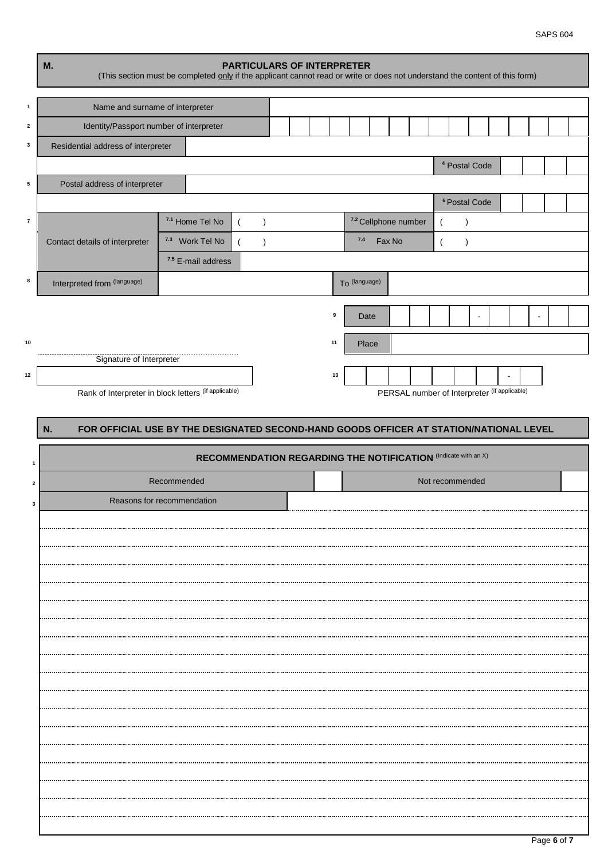|                         | M.                                      | (This section must be completed only if the applicant cannot read or write or does not understand the content of this form) | <b>PARTICULARS OF INTERPRETER</b>                                     |    |               |                                              |                 |                          |  |  |
|-------------------------|-----------------------------------------|-----------------------------------------------------------------------------------------------------------------------------|-----------------------------------------------------------------------|----|---------------|----------------------------------------------|-----------------|--------------------------|--|--|
| $\mathbf{1}$            | Name and surname of interpreter         |                                                                                                                             |                                                                       |    |               |                                              |                 |                          |  |  |
| $\overline{\mathbf{2}}$ | Identity/Passport number of interpreter |                                                                                                                             |                                                                       |    |               |                                              |                 |                          |  |  |
| 3                       | Residential address of interpreter      |                                                                                                                             |                                                                       |    |               |                                              |                 |                          |  |  |
|                         |                                         |                                                                                                                             |                                                                       |    |               |                                              |                 | <sup>4</sup> Postal Code |  |  |
| 5                       | Postal address of interpreter           |                                                                                                                             |                                                                       |    |               |                                              |                 |                          |  |  |
|                         |                                         |                                                                                                                             |                                                                       |    |               |                                              |                 | <sup>6</sup> Postal Code |  |  |
| $\overline{7}$          |                                         | 7.1 Home Tel No                                                                                                             | $\lambda$                                                             |    |               | 7.2 Cellphone number                         |                 | $\lambda$                |  |  |
|                         | Contact details of interpreter          | 7.3 Work Tel No                                                                                                             | $\lambda$                                                             |    | 7.4           | Fax No                                       |                 | $\lambda$                |  |  |
| 8                       |                                         | 7.5 E-mail address                                                                                                          |                                                                       |    |               |                                              |                 |                          |  |  |
|                         | Interpreted from (language)             |                                                                                                                             |                                                                       |    | To (language) |                                              |                 |                          |  |  |
|                         |                                         |                                                                                                                             |                                                                       | 9  | Date          |                                              |                 |                          |  |  |
| 10                      |                                         |                                                                                                                             |                                                                       | 11 | Place         |                                              |                 |                          |  |  |
|                         | Signature of Interpreter                |                                                                                                                             |                                                                       |    |               |                                              |                 |                          |  |  |
| $12$                    |                                         |                                                                                                                             |                                                                       | 13 |               |                                              |                 |                          |  |  |
|                         |                                         | Rank of Interpreter in block letters (if applicable)                                                                        |                                                                       |    |               | PERSAL number of Interpreter (if applicable) |                 |                          |  |  |
|                         | N.                                      | FOR OFFICIAL USE BY THE DESIGNATED SECOND-HAND GOODS OFFICER AT STATION/NATIONAL LEVEL                                      |                                                                       |    |               |                                              |                 |                          |  |  |
|                         |                                         |                                                                                                                             |                                                                       |    |               |                                              |                 |                          |  |  |
|                         |                                         |                                                                                                                             |                                                                       |    |               |                                              |                 |                          |  |  |
| $\mathbf{1}$            |                                         |                                                                                                                             | <b>RECOMMENDATION REGARDING THE NOTIFICATION (Indicate with an X)</b> |    |               |                                              |                 |                          |  |  |
| $\mathbf 2$             |                                         | Recommended                                                                                                                 |                                                                       |    |               |                                              | Not recommended |                          |  |  |
| 3                       |                                         | Reasons for recommendation                                                                                                  |                                                                       |    |               |                                              |                 |                          |  |  |
|                         |                                         |                                                                                                                             |                                                                       |    |               |                                              |                 |                          |  |  |
|                         |                                         |                                                                                                                             |                                                                       |    |               |                                              |                 |                          |  |  |
|                         |                                         |                                                                                                                             |                                                                       |    |               |                                              |                 |                          |  |  |
|                         |                                         |                                                                                                                             |                                                                       |    |               |                                              |                 |                          |  |  |
|                         |                                         |                                                                                                                             |                                                                       |    |               |                                              |                 |                          |  |  |
|                         |                                         |                                                                                                                             |                                                                       |    |               |                                              |                 |                          |  |  |
|                         |                                         |                                                                                                                             |                                                                       |    |               |                                              |                 |                          |  |  |
|                         |                                         |                                                                                                                             |                                                                       |    |               |                                              |                 |                          |  |  |
|                         |                                         |                                                                                                                             |                                                                       |    |               |                                              |                 |                          |  |  |
|                         |                                         |                                                                                                                             |                                                                       |    |               |                                              |                 |                          |  |  |
|                         |                                         |                                                                                                                             |                                                                       |    |               |                                              |                 |                          |  |  |
|                         |                                         |                                                                                                                             |                                                                       |    |               |                                              |                 |                          |  |  |
|                         |                                         |                                                                                                                             |                                                                       |    |               |                                              |                 |                          |  |  |